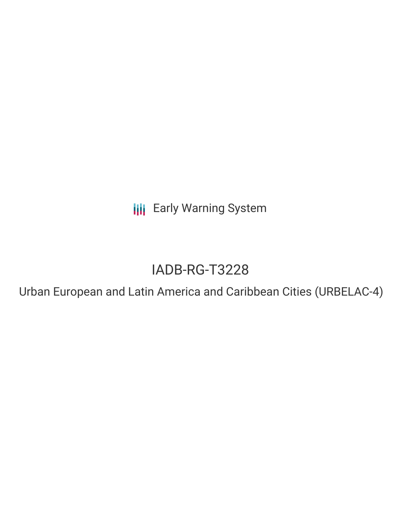**III** Early Warning System

# IADB-RG-T3228

Urban European and Latin America and Caribbean Cities (URBELAC-4)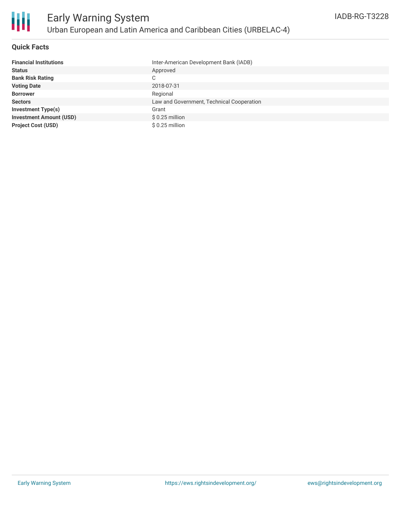

#### **Quick Facts**

| <b>Financial Institutions</b>  | Inter-American Development Bank (IADB)    |
|--------------------------------|-------------------------------------------|
| <b>Status</b>                  | Approved                                  |
| <b>Bank Risk Rating</b>        | C                                         |
| <b>Voting Date</b>             | 2018-07-31                                |
| <b>Borrower</b>                | Regional                                  |
| <b>Sectors</b>                 | Law and Government, Technical Cooperation |
| <b>Investment Type(s)</b>      | Grant                                     |
| <b>Investment Amount (USD)</b> | $$0.25$ million                           |
| <b>Project Cost (USD)</b>      | \$0.25 million                            |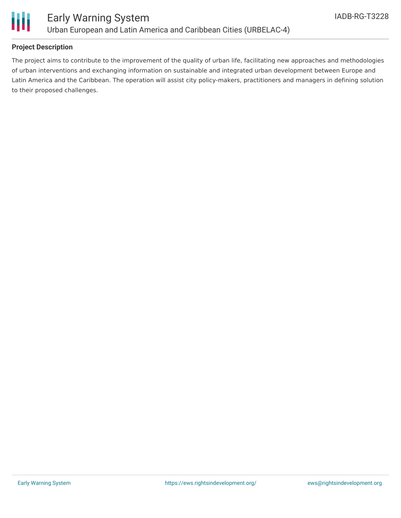

### **Project Description**

The project aims to contribute to the improvement of the quality of urban life, facilitating new approaches and methodologies of urban interventions and exchanging information on sustainable and integrated urban development between Europe and Latin America and the Caribbean. The operation will assist city policy-makers, practitioners and managers in defining solution to their proposed challenges.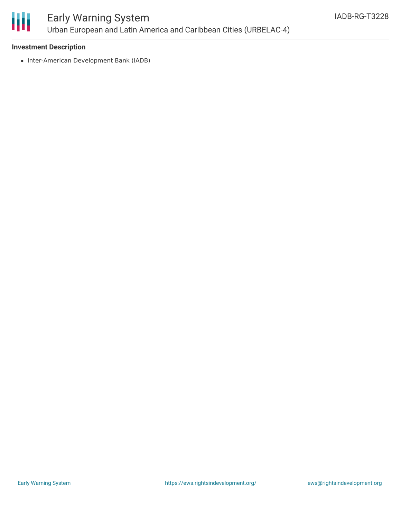

## Early Warning System Urban European and Latin America and Caribbean Cities (URBELAC-4)

#### **Investment Description**

• Inter-American Development Bank (IADB)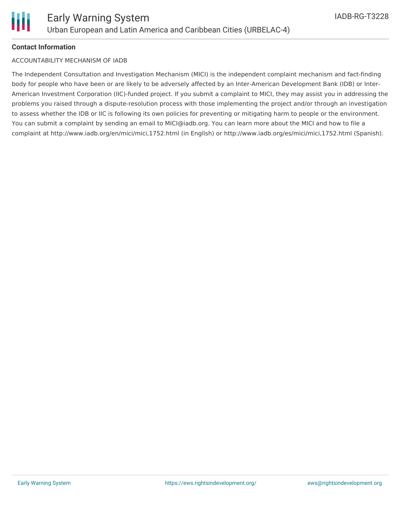#### **Contact Information**

#### ACCOUNTABILITY MECHANISM OF IADB

The Independent Consultation and Investigation Mechanism (MICI) is the independent complaint mechanism and fact-finding body for people who have been or are likely to be adversely affected by an Inter-American Development Bank (IDB) or Inter-American Investment Corporation (IIC)-funded project. If you submit a complaint to MICI, they may assist you in addressing the problems you raised through a dispute-resolution process with those implementing the project and/or through an investigation to assess whether the IDB or IIC is following its own policies for preventing or mitigating harm to people or the environment. You can submit a complaint by sending an email to MICI@iadb.org. You can learn more about the MICI and how to file a complaint at http://www.iadb.org/en/mici/mici,1752.html (in English) or http://www.iadb.org/es/mici/mici,1752.html (Spanish).